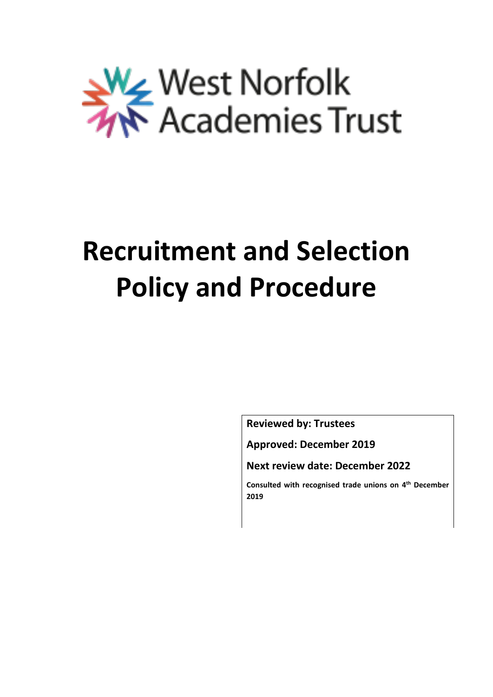

# **Recruitment and Selection Policy and Procedure**

**Reviewed by: Trustees**

**Approved: December 2019**

**Next review date: December 2022**

**Consulted with recognised trade unions on 4 th December 2019**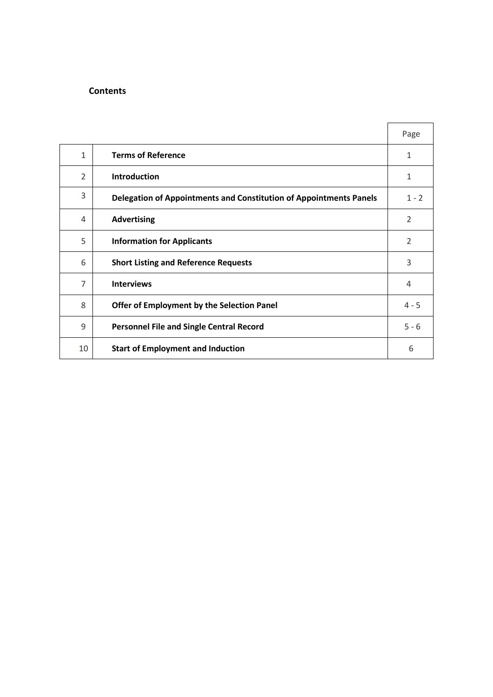### **Contents**

|                |                                                                    | Page           |
|----------------|--------------------------------------------------------------------|----------------|
| 1              | <b>Terms of Reference</b>                                          | 1              |
| $\overline{2}$ | <b>Introduction</b>                                                | 1              |
| 3              | Delegation of Appointments and Constitution of Appointments Panels | $1 - 2$        |
| 4              | <b>Advertising</b>                                                 | $\overline{2}$ |
| 5              | <b>Information for Applicants</b>                                  | 2              |
| 6              | <b>Short Listing and Reference Requests</b>                        | 3              |
| $\overline{7}$ | <b>Interviews</b>                                                  | 4              |
| 8              | Offer of Employment by the Selection Panel                         | $4 - 5$        |
| 9              | <b>Personnel File and Single Central Record</b>                    | $5 - 6$        |
| 10             | <b>Start of Employment and Induction</b>                           | 6              |

 $\sim$   $\sim$   $\sim$   $\sim$   $\sim$   $\sim$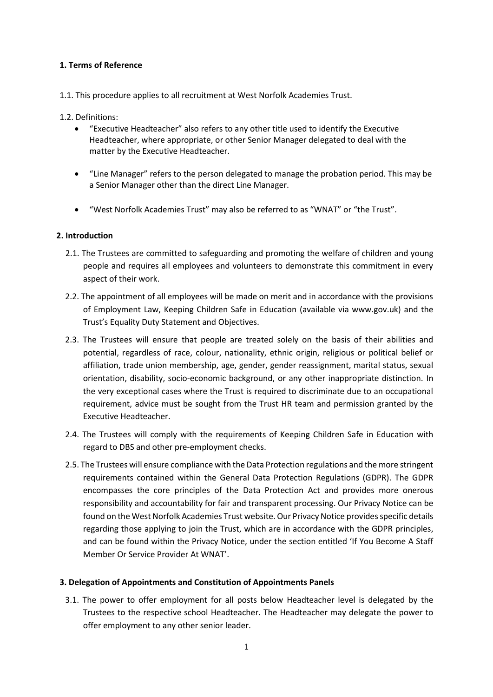### **1. Terms of Reference**

#### 1.1. This procedure applies to all recruitment at West Norfolk Academies Trust.

1.2. Definitions:

- "Executive Headteacher" also refers to any other title used to identify the Executive Headteacher, where appropriate, or other Senior Manager delegated to deal with the matter by the Executive Headteacher.
- "Line Manager" refers to the person delegated to manage the probation period. This may be a Senior Manager other than the direct Line Manager.
- "West Norfolk Academies Trust" may also be referred to as "WNAT" or "the Trust".

### **2. Introduction**

- 2.1. The Trustees are committed to safeguarding and promoting the welfare of children and young people and requires all employees and volunteers to demonstrate this commitment in every aspect of their work.
- 2.2. The appointment of all employees will be made on merit and in accordance with the provisions of Employment Law, [Keeping Children Safe in Education](https://www.gov.uk/government/uploads/system/uploads/attachment_data/file/550511/Keeping_children_safe_in_education.pdf) (available via www.gov.uk) and the Trust's Equality Duty Statement and Objectives.
- 2.3. The Trustees will ensure that people are treated solely on the basis of their abilities and potential, regardless of race, colour, nationality, ethnic origin, religious or political belief or affiliation, trade union membership, age, gender, gender reassignment, marital status, sexual orientation, disability, socio-economic background, or any other inappropriate distinction. In the very exceptional cases where the Trust is required to discriminate due to an occupational requirement, advice must be sought from the Trust HR team and permission granted by the Executive Headteacher.
- 2.4. The Trustees will comply with the requirements of [Keeping Children Safe in Education](https://www.gov.uk/government/uploads/system/uploads/attachment_data/file/550511/Keeping_children_safe_in_education.pdf) with regard to DBS and other pre-employment checks.
- 2.5. The Trustees will ensure compliance with the Data Protection regulations and the more stringent requirements contained within the General Data Protection Regulations (GDPR). The GDPR encompasses the core principles of the Data Protection Act and provides more onerous responsibility and accountability for fair and transparent processing. Our Privacy Notice can be found on the West Norfolk Academies Trust website. Our Privacy Notice provides specific details regarding those applying to join the Trust, which are in accordance with the GDPR principles, and can be found within the Privacy Notice, under the section entitled 'If You Become A Staff Member Or Service Provider At WNAT'.

## **3. Delegation of Appointments and Constitution of Appointments Panels**

3.1. The power to offer employment for all posts below Headteacher level is delegated by the Trustees to the respective school Headteacher. The Headteacher may delegate the power to offer employment to any other senior leader.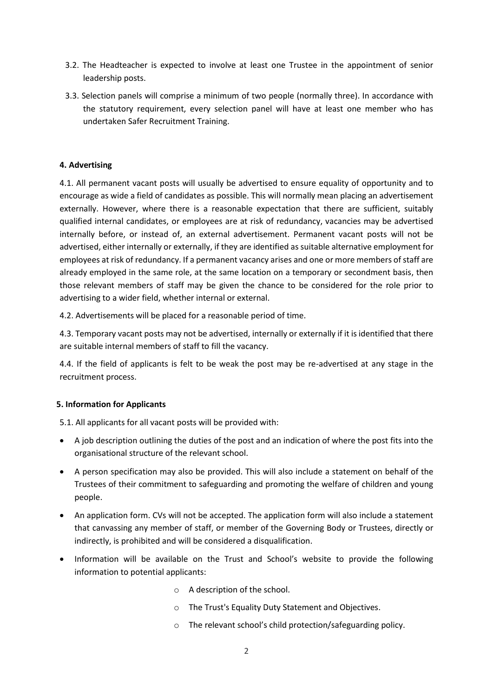- 3.2. The Headteacher is expected to involve at least one Trustee in the appointment of senior leadership posts.
- 3.3. Selection panels will comprise a minimum of two people (normally three). In accordance with the statutory requirement, every selection panel will have at least one member who has undertaken Safer Recruitment Training.

### **4. Advertising**

4.1. All permanent vacant posts will usually be advertised to ensure equality of opportunity and to encourage as wide a field of candidates as possible. This will normally mean placing an advertisement externally. However, where there is a reasonable expectation that there are sufficient, suitably qualified internal candidates, or employees are at risk of redundancy, vacancies may be advertised internally before, or instead of, an external advertisement. Permanent vacant posts will not be advertised, either internally or externally, if they are identified as suitable alternative employment for employees at risk of redundancy. If a permanent vacancy arises and one or more members of staff are already employed in the same role, at the same location on a temporary or secondment basis, then those relevant members of staff may be given the chance to be considered for the role prior to advertising to a wider field, whether internal or external.

4.2. Advertisements will be placed for a reasonable period of time.

4.3. Temporary vacant posts may not be advertised, internally or externally if it is identified that there are suitable internal members of staff to fill the vacancy.

4.4. If the field of applicants is felt to be weak the post may be re-advertised at any stage in the recruitment process.

#### **5. Information for Applicants**

5.1. All applicants for all vacant posts will be provided with:

- A job description outlining the duties of the post and an indication of where the post fits into the organisational structure of the relevant school.
- A person specification may also be provided. This will also include a statement on behalf of the Trustees of their commitment to safeguarding and promoting the welfare of children and young people.
- An application form. CVs will not be accepted. The application form will also include a statement that canvassing any member of staff, or member of the Governing Body or Trustees, directly or indirectly, is prohibited and will be considered a disqualification.
- Information will be available on the Trust and School's website to provide the following information to potential applicants:
	- o A description of the school.
	- o The Trust's Equality Duty Statement and Objectives.
	- o The relevant school's child protection/safeguarding policy.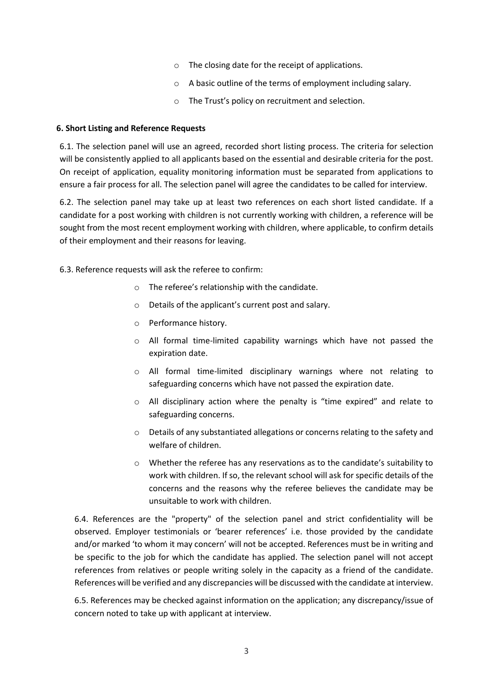- o The closing date for the receipt of applications.
- o A basic outline of the terms of employment including salary.
- o The Trust's policy on recruitment and selection.

### **6. Short Listing and Reference Requests**

6.1. The selection panel will use an agreed, recorded short listing process. The criteria for selection will be consistently applied to all applicants based on the essential and desirable criteria for the post. On receipt of application, equality monitoring information must be separated from applications to ensure a fair process for all. The selection panel will agree the candidates to be called for interview.

6.2. The selection panel may take up at least two references on each short listed candidate. If a candidate for a post working with children is not currently working with children, a reference will be sought from the most recent employment working with children, where applicable, to confirm details of their employment and their reasons for leaving.

6.3. Reference requests will ask the referee to confirm:

- o The referee's relationship with the candidate.
- o Details of the applicant's current post and salary.
- o Performance history.
- o All formal time-limited capability warnings which have not passed the expiration date.
- o All formal time-limited disciplinary warnings where not relating to safeguarding concerns which have not passed the expiration date.
- o All disciplinary action where the penalty is "time expired" and relate to safeguarding concerns.
- $\circ$  Details of any substantiated allegations or concerns relating to the safety and welfare of children.
- $\circ$  Whether the referee has any reservations as to the candidate's suitability to work with children. If so, the relevant school will ask for specific details of the concerns and the reasons why the referee believes the candidate may be unsuitable to work with children.

6.4. References are the "property" of the selection panel and strict confidentiality will be observed. Employer testimonials or 'bearer references' i.e. those provided by the candidate and/or marked 'to whom it may concern' will not be accepted. References must be in writing and be specific to the job for which the candidate has applied. The selection panel will not accept references from relatives or people writing solely in the capacity as a friend of the candidate. References will be verified and any discrepancies will be discussed with the candidate at interview.

6.5. References may be checked against information on the application; any discrepancy/issue of concern noted to take up with applicant at interview.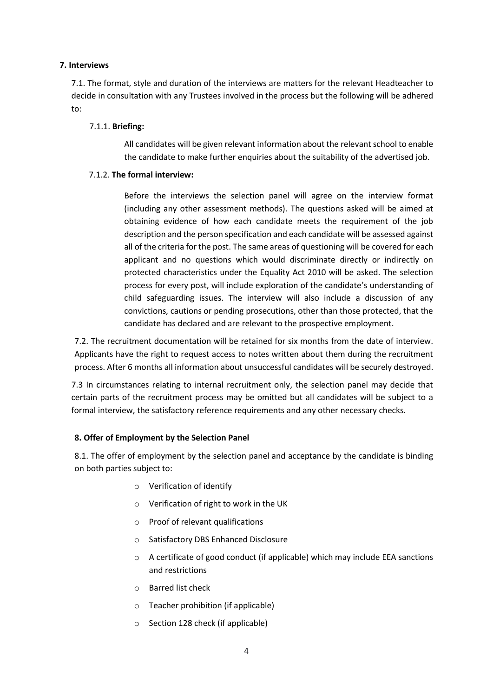### **7. Interviews**

7.1. The format, style and duration of the interviews are matters for the relevant Headteacher to decide in consultation with any Trustees involved in the process but the following will be adhered to:

## 7.1.1. **Briefing:**

All candidates will be given relevant information about the relevant school to enable the candidate to make further enquiries about the suitability of the advertised job.

### 7.1.2. **The formal interview:**

Before the interviews the selection panel will agree on the interview format (including any other assessment methods). The questions asked will be aimed at obtaining evidence of how each candidate meets the requirement of the job description and the person specification and each candidate will be assessed against all of the criteria for the post. The same areas of questioning will be covered for each applicant and no questions which would discriminate directly or indirectly on protected characteristics under the Equality Act 2010 will be asked. The selection process for every post, will include exploration of the candidate's understanding of child safeguarding issues. The interview will also include a discussion of any convictions, cautions or pending prosecutions, other than those protected, that the candidate has declared and are relevant to the prospective employment.

7.2. The recruitment documentation will be retained for six months from the date of interview. Applicants have the right to request access to notes written about them during the recruitment process. After 6 months all information about unsuccessful candidates will be securely destroyed.

7.3 In circumstances relating to internal recruitment only, the selection panel may decide that certain parts of the recruitment process may be omitted but all candidates will be subject to a formal interview, the satisfactory reference requirements and any other necessary checks.

## **8. Offer of Employment by the Selection Panel**

8.1. The offer of employment by the selection panel and acceptance by the candidate is binding on both parties subject to:

- o Verification of identify
- o Verification of right to work in the UK
- o Proof of relevant qualifications
- o Satisfactory DBS Enhanced Disclosure
- $\circ$  A certificate of good conduct (if applicable) which may include EEA sanctions and restrictions
- o Barred list check
- o Teacher prohibition (if applicable)
- o Section 128 check (if applicable)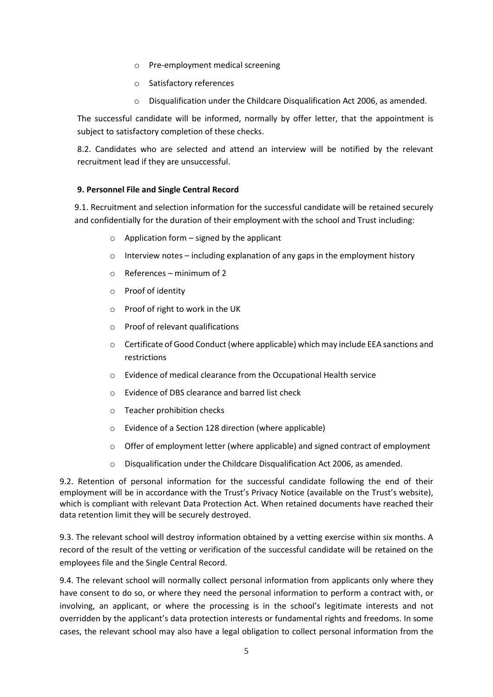- o Pre-employment medical screening
- o Satisfactory references
- o Disqualification under the Childcare Disqualification Act 2006, as amended.

The successful candidate will be informed, normally by offer letter, that the appointment is subject to satisfactory completion of these checks.

8.2. Candidates who are selected and attend an interview will be notified by the relevant recruitment lead if they are unsuccessful.

### **9. Personnel File and Single Central Record**

9.1. Recruitment and selection information for the successful candidate will be retained securely and confidentially for the duration of their employment with the school and Trust including:

- $\circ$  Application form signed by the applicant
- o Interview notes including explanation of any gaps in the employment history
- o References minimum of 2
- o Proof of identity
- o Proof of right to work in the UK
- o Proof of relevant qualifications
- o Certificate of Good Conduct (where applicable) which may include EEA sanctions and restrictions
- o Evidence of medical clearance from the Occupational Health service
- o Evidence of DBS clearance and barred list check
- o Teacher prohibition checks
- o Evidence of a Section 128 direction (where applicable)
- $\circ$  Offer of employment letter (where applicable) and signed contract of employment
- o Disqualification under the Childcare Disqualification Act 2006, as amended.

9.2. Retention of personal information for the successful candidate following the end of their employment will be in accordance with the Trust's Privacy Notice (available on the Trust's website), which is compliant with relevant Data Protection Act. When retained documents have reached their data retention limit they will be securely destroyed.

9.3. The relevant school will destroy information obtained by a vetting exercise within six months. A record of the result of the vetting or verification of the successful candidate will be retained on the employees file and the Single Central Record.

9.4. The relevant school will normally collect personal information from applicants only where they have consent to do so, or where they need the personal information to perform a contract with, or involving, an applicant, or where the processing is in the school's legitimate interests and not overridden by the applicant's data protection interests or fundamental rights and freedoms. In some cases, the relevant school may also have a legal obligation to collect personal information from the